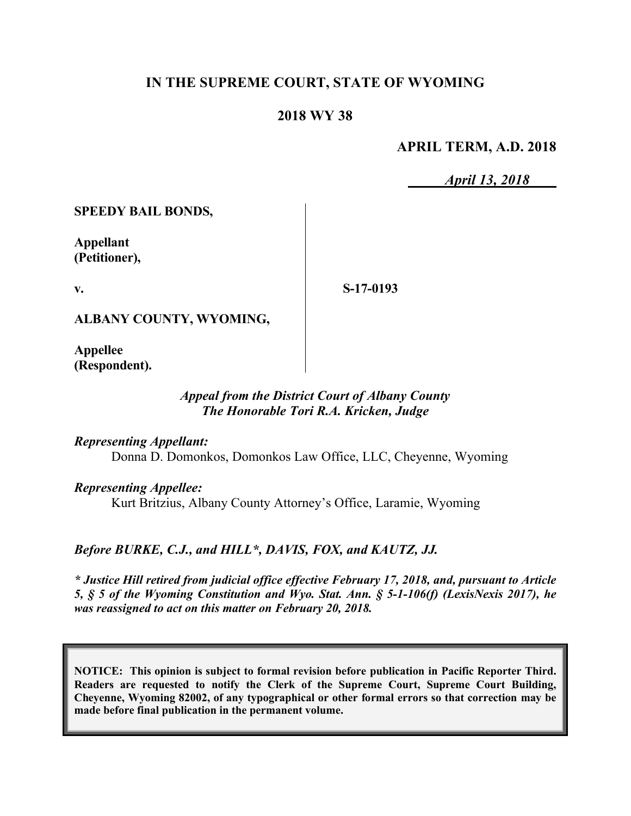# **IN THE SUPREME COURT, STATE OF WYOMING**

### **2018 WY 38**

#### **APRIL TERM, A.D. 2018**

*April 13, 2018*

**SPEEDY BAIL BONDS,**

**Appellant (Petitioner),**

**v.**

**S-17-0193**

**ALBANY COUNTY, WYOMING,**

**Appellee (Respondent).**

# *Appeal from the District Court of Albany County The Honorable Tori R.A. Kricken, Judge*

*Representing Appellant:*

Donna D. Domonkos, Domonkos Law Office, LLC, Cheyenne, Wyoming

*Representing Appellee:*

Kurt Britzius, Albany County Attorney's Office, Laramie, Wyoming

*Before BURKE, C.J., and HILL\*, DAVIS, FOX, and KAUTZ, JJ.*

*\* Justice Hill retired from judicial office effective February 17, 2018, and, pursuant to Article 5, § 5 of the Wyoming Constitution and Wyo. Stat. Ann. § 5-1-106(f) (LexisNexis 2017), he was reassigned to act on this matter on February 20, 2018.*

**NOTICE: This opinion is subject to formal revision before publication in Pacific Reporter Third. Readers are requested to notify the Clerk of the Supreme Court, Supreme Court Building, Cheyenne, Wyoming 82002, of any typographical or other formal errors so that correction may be made before final publication in the permanent volume.**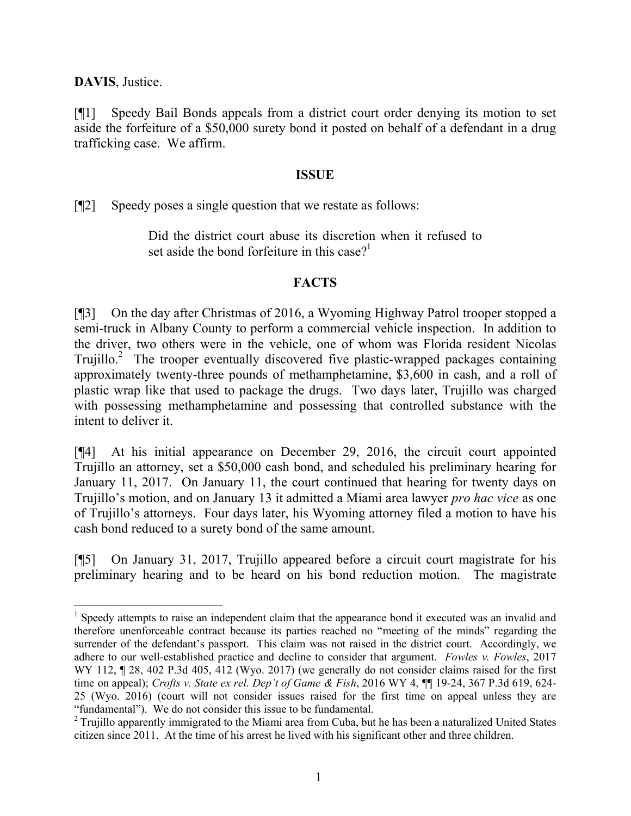**DAVIS**, Justice.

 $\overline{a}$ 

[¶1] Speedy Bail Bonds appeals from a district court order denying its motion to set aside the forfeiture of a \$50,000 surety bond it posted on behalf of a defendant in a drug trafficking case. We affirm.

#### **ISSUE**

[¶2] Speedy poses a single question that we restate as follows:

Did the district court abuse its discretion when it refused to set aside the bond forfeiture in this case?<sup>1</sup>

## **FACTS**

[¶3] On the day after Christmas of 2016, a Wyoming Highway Patrol trooper stopped a semi-truck in Albany County to perform a commercial vehicle inspection. In addition to the driver, two others were in the vehicle, one of whom was Florida resident Nicolas Trujillo.<sup>2</sup> The trooper eventually discovered five plastic-wrapped packages containing approximately twenty-three pounds of methamphetamine, \$3,600 in cash, and a roll of plastic wrap like that used to package the drugs. Two days later, Trujillo was charged with possessing methamphetamine and possessing that controlled substance with the intent to deliver it.

[¶4] At his initial appearance on December 29, 2016, the circuit court appointed Trujillo an attorney, set a \$50,000 cash bond, and scheduled his preliminary hearing for January 11, 2017. On January 11, the court continued that hearing for twenty days on Trujillo's motion, and on January 13 it admitted a Miami area lawyer *pro hac vice* as one of Trujillo's attorneys. Four days later, his Wyoming attorney filed a motion to have his cash bond reduced to a surety bond of the same amount.

[¶5] On January 31, 2017, Trujillo appeared before a circuit court magistrate for his preliminary hearing and to be heard on his bond reduction motion. The magistrate

<sup>&</sup>lt;sup>1</sup> Speedy attempts to raise an independent claim that the appearance bond it executed was an invalid and therefore unenforceable contract because its parties reached no "meeting of the minds" regarding the surrender of the defendant's passport. This claim was not raised in the district court. Accordingly, we adhere to our well-established practice and decline to consider that argument. *Fowles v. Fowles*, 2017 WY 112, 128, 402 P.3d 405, 412 (Wyo. 2017) (we generally do not consider claims raised for the first time on appeal); *Crofts v. State ex rel. Dep't of Game & Fish*, 2016 WY 4, ¶¶ 19-24, 367 P.3d 619, 624- 25 (Wyo. 2016) (court will not consider issues raised for the first time on appeal unless they are "fundamental"). We do not consider this issue to be fundamental.

<sup>&</sup>lt;sup>2</sup> Trujillo apparently immigrated to the Miami area from Cuba, but he has been a naturalized United States citizen since 2011. At the time of his arrest he lived with his significant other and three children.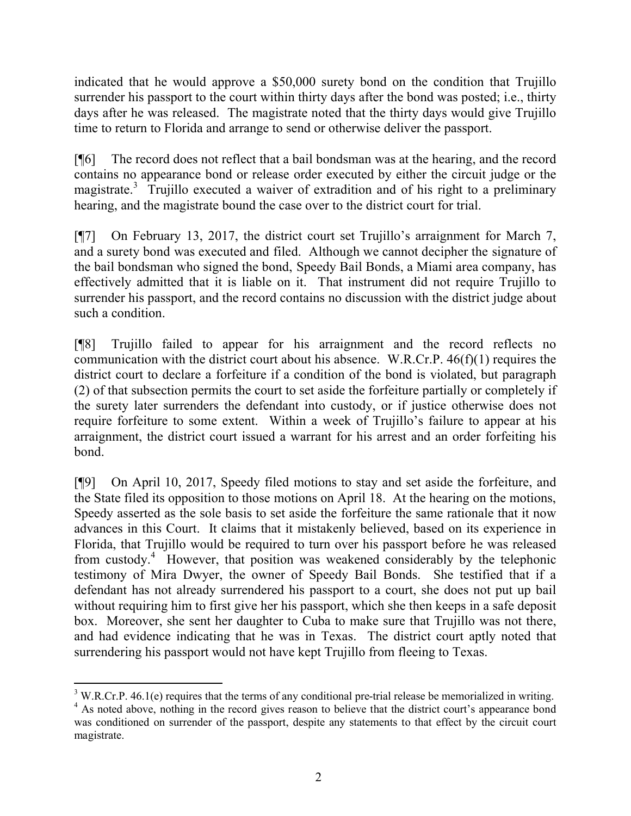indicated that he would approve a \$50,000 surety bond on the condition that Trujillo surrender his passport to the court within thirty days after the bond was posted; i.e., thirty days after he was released. The magistrate noted that the thirty days would give Trujillo time to return to Florida and arrange to send or otherwise deliver the passport.

[¶6] The record does not reflect that a bail bondsman was at the hearing, and the record contains no appearance bond or release order executed by either the circuit judge or the magistrate.<sup>3</sup> Trujillo executed a waiver of extradition and of his right to a preliminary hearing, and the magistrate bound the case over to the district court for trial.

[¶7] On February 13, 2017, the district court set Trujillo's arraignment for March 7, and a surety bond was executed and filed. Although we cannot decipher the signature of the bail bondsman who signed the bond, Speedy Bail Bonds, a Miami area company, has effectively admitted that it is liable on it. That instrument did not require Trujillo to surrender his passport, and the record contains no discussion with the district judge about such a condition.

[¶8] Trujillo failed to appear for his arraignment and the record reflects no communication with the district court about his absence. W.R.Cr.P. 46(f)(1) requires the district court to declare a forfeiture if a condition of the bond is violated, but paragraph (2) of that subsection permits the court to set aside the forfeiture partially or completely if the surety later surrenders the defendant into custody, or if justice otherwise does not require forfeiture to some extent. Within a week of Trujillo's failure to appear at his arraignment, the district court issued a warrant for his arrest and an order forfeiting his bond.

[¶9] On April 10, 2017, Speedy filed motions to stay and set aside the forfeiture, and the State filed its opposition to those motions on April 18. At the hearing on the motions, Speedy asserted as the sole basis to set aside the forfeiture the same rationale that it now advances in this Court. It claims that it mistakenly believed, based on its experience in Florida, that Trujillo would be required to turn over his passport before he was released from custody.<sup>4</sup> However, that position was weakened considerably by the telephonic testimony of Mira Dwyer, the owner of Speedy Bail Bonds. She testified that if a defendant has not already surrendered his passport to a court, she does not put up bail without requiring him to first give her his passport, which she then keeps in a safe deposit box. Moreover, she sent her daughter to Cuba to make sure that Trujillo was not there, and had evidence indicating that he was in Texas. The district court aptly noted that surrendering his passport would not have kept Trujillo from fleeing to Texas.

l

 $3$  W.R.Cr.P. 46.1(e) requires that the terms of any conditional pre-trial release be memorialized in writing.

<sup>&</sup>lt;sup>4</sup> As noted above, nothing in the record gives reason to believe that the district court's appearance bond was conditioned on surrender of the passport, despite any statements to that effect by the circuit court magistrate.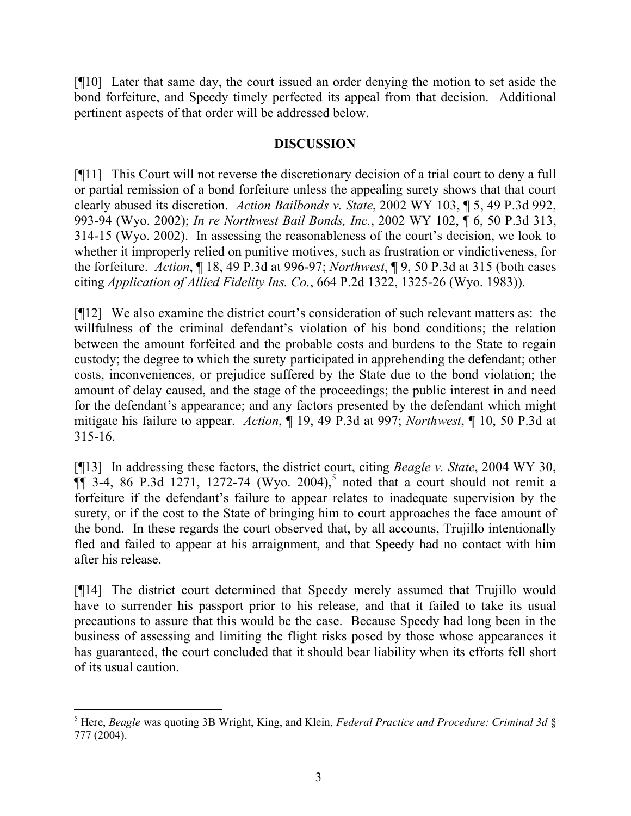[¶10] Later that same day, the court issued an order denying the motion to set aside the bond forfeiture, and Speedy timely perfected its appeal from that decision. Additional pertinent aspects of that order will be addressed below.

### **DISCUSSION**

[¶11] This Court will not reverse the discretionary decision of a trial court to deny a full or partial remission of a bond forfeiture unless the appealing surety shows that that court clearly abused its discretion. *Action Bailbonds v. State*, 2002 WY 103, ¶ 5, 49 P.3d 992, 993-94 (Wyo. 2002); *In re Northwest Bail Bonds, Inc.*, 2002 WY 102, ¶ 6, 50 P.3d 313, 314-15 (Wyo. 2002). In assessing the reasonableness of the court's decision, we look to whether it improperly relied on punitive motives, such as frustration or vindictiveness, for the forfeiture. *Action*, ¶ 18, 49 P.3d at 996-97; *Northwest*, ¶ 9, 50 P.3d at 315 (both cases citing *Application of Allied Fidelity Ins. Co.*, 664 P.2d 1322, 1325-26 (Wyo. 1983)).

[¶12] We also examine the district court's consideration of such relevant matters as: the willfulness of the criminal defendant's violation of his bond conditions; the relation between the amount forfeited and the probable costs and burdens to the State to regain custody; the degree to which the surety participated in apprehending the defendant; other costs, inconveniences, or prejudice suffered by the State due to the bond violation; the amount of delay caused, and the stage of the proceedings; the public interest in and need for the defendant's appearance; and any factors presented by the defendant which might mitigate his failure to appear. *Action*, ¶ 19, 49 P.3d at 997; *Northwest*, ¶ 10, 50 P.3d at 315-16.

[¶13] In addressing these factors, the district court, citing *Beagle v. State*, 2004 WY 30,  $\P$  3-4, 86 P.3d 1271, 1272-74 (Wyo. 2004),<sup>5</sup> noted that a court should not remit a forfeiture if the defendant's failure to appear relates to inadequate supervision by the surety, or if the cost to the State of bringing him to court approaches the face amount of the bond. In these regards the court observed that, by all accounts, Trujillo intentionally fled and failed to appear at his arraignment, and that Speedy had no contact with him after his release.

[¶14] The district court determined that Speedy merely assumed that Trujillo would have to surrender his passport prior to his release, and that it failed to take its usual precautions to assure that this would be the case. Because Speedy had long been in the business of assessing and limiting the flight risks posed by those whose appearances it has guaranteed, the court concluded that it should bear liability when its efforts fell short of its usual caution.

<sup>5</sup> Here, *Beagle* was quoting 3B Wright, King, and Klein, *Federal Practice and Procedure: Criminal 3d* § 777 (2004).